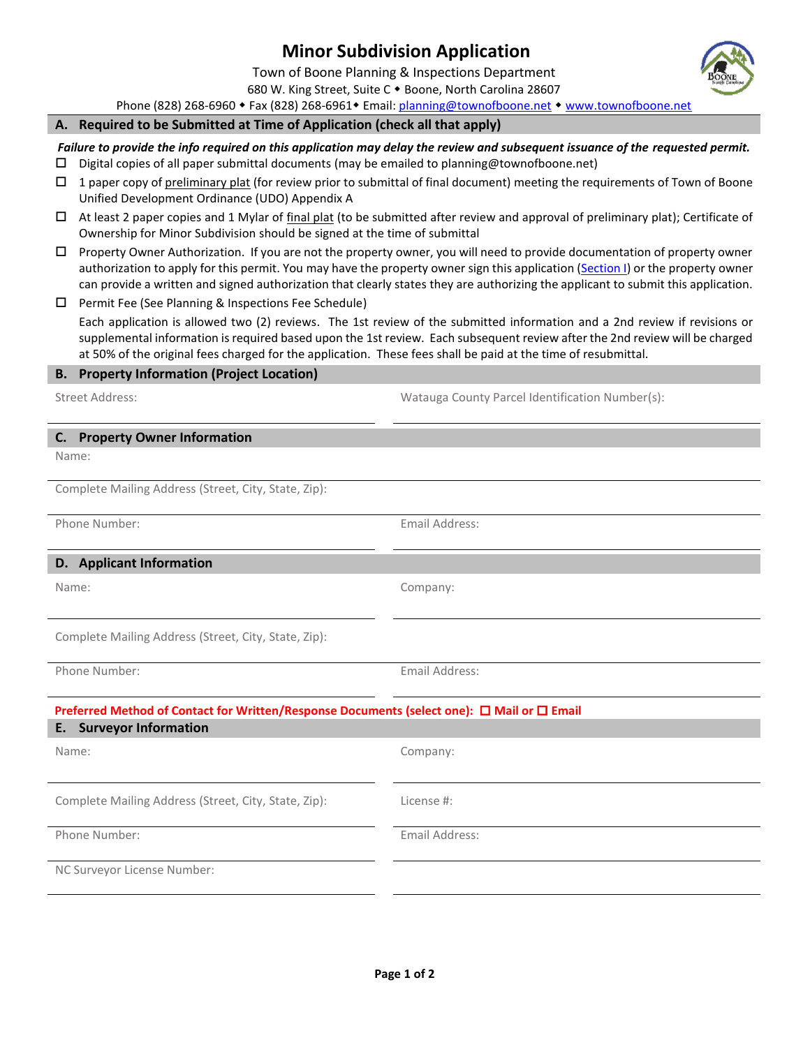# **Minor Subdivision Application**

Town of Boone Planning & Inspections Department

680 W. King Street, Suite C . Boone, North Carolina 28607

Phone (828) 268-6960 • Fax (828) 268-6961 • Email: [planning@townofboone.net](mailto:planning@townofboone.net) • [www.townofboone.net](http://www.townofboone.net/)

#### **A. Required to be Submitted at Time of Application (check all that apply)**

*Failure to provide the info required on this application may delay the review and subsequent issuance of the requested permit.*

- $\square$  Digital copies of all paper submittal documents (may be emailed to planning @townofboone.net)
- $\Box$  1 paper copy of preliminary plat (for review prior to submittal of final document) meeting the requirements of Town of Boone Unified Development Ordinance (UDO) Appendix A
- $\Box$  At least 2 paper copies and 1 Mylar of final plat (to be submitted after review and approval of preliminary plat); Certificate of Ownership for Minor Subdivision should be signed at the time of submittal
- Property Owner Authorization. If you are not the property owner, you will need to provide documentation of property owner authorization to apply for this permit. You may have the property owner sign this application [\(Section I\)](#page-1-0) or the property owner can provide a written and signed authorization that clearly states they are authorizing the applicant to submit this application.
- $\square$  Permit Fee (See Planning & Inspections Fee Schedule)

Each application is allowed two (2) reviews. The 1st review of the submitted information and a 2nd review if revisions or supplemental information is required based upon the 1st review. Each subsequent review after the 2nd review will be charged at 50% of the original fees charged for the application. These fees shall be paid at the time of resubmittal.

### **B. Property Information (Project Location)**

Street Address: Watauga County Parcel Identification Number(s):

#### **C. Property Owner Information**

Name:

Complete Mailing Address (Street, City, State, Zip):

Phone Number: The Contract of the Contract of the Email Address:

#### **D. Applicant Information**

Name: Company:

Complete Mailing Address (Street, City, State, Zip):

Phone Number: The Contract of the Contract of the Email Address:

## **Preferred Method of Contact for Written/Response Documents (select one): □ Mail or □ Email**

| <b>E.</b> Surveyor Information                       |                |
|------------------------------------------------------|----------------|
| Name:                                                | Company:       |
|                                                      |                |
| Complete Mailing Address (Street, City, State, Zip): | License #:     |
| Phone Number:                                        | Email Address: |
| NC Surveyor License Number:                          |                |